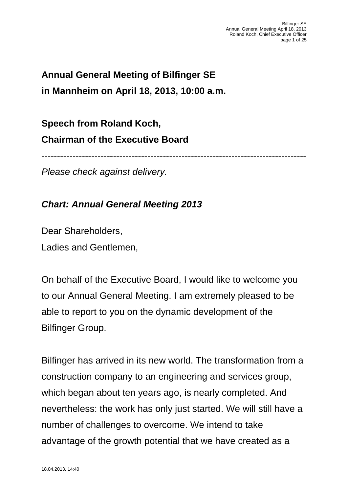# **Annual General Meeting of Bilfinger SE in Mannheim on April 18, 2013, 10:00 a.m.**

**Speech from Roland Koch, Chairman of the Executive Board**

-------------------------------------------------------------------------------------

*Please check against delivery.*

#### *Chart: Annual General Meeting 2013*

Dear Shareholders, Ladies and Gentlemen,

On behalf of the Executive Board, I would like to welcome you to our Annual General Meeting. I am extremely pleased to be able to report to you on the dynamic development of the Bilfinger Group.

Bilfinger has arrived in its new world. The transformation from a construction company to an engineering and services group, which began about ten years ago, is nearly completed. And nevertheless: the work has only just started. We will still have a number of challenges to overcome. We intend to take advantage of the growth potential that we have created as a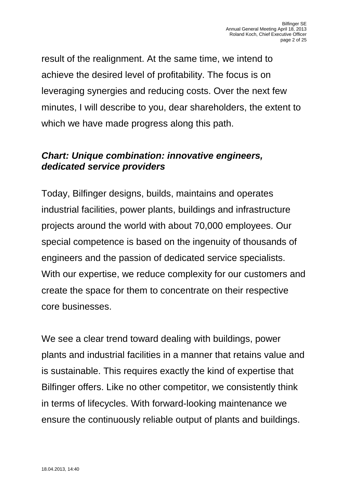result of the realignment. At the same time, we intend to achieve the desired level of profitability. The focus is on leveraging synergies and reducing costs. Over the next few minutes, I will describe to you, dear shareholders, the extent to which we have made progress along this path.

### *Chart: Unique combination: innovative engineers, dedicated service providers*

Today, Bilfinger designs, builds, maintains and operates industrial facilities, power plants, buildings and infrastructure projects around the world with about 70,000 employees. Our special competence is based on the ingenuity of thousands of engineers and the passion of dedicated service specialists. With our expertise, we reduce complexity for our customers and create the space for them to concentrate on their respective core businesses.

We see a clear trend toward dealing with buildings, power plants and industrial facilities in a manner that retains value and is sustainable. This requires exactly the kind of expertise that Bilfinger offers. Like no other competitor, we consistently think in terms of lifecycles. With forward-looking maintenance we ensure the continuously reliable output of plants and buildings.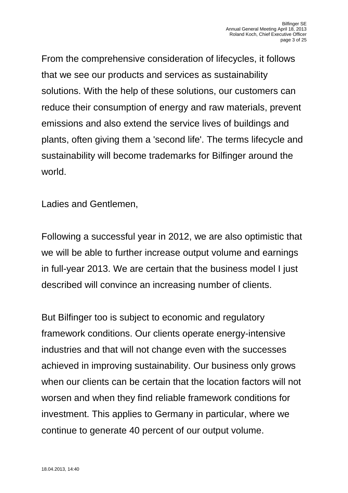From the comprehensive consideration of lifecycles, it follows that we see our products and services as sustainability solutions. With the help of these solutions, our customers can reduce their consumption of energy and raw materials, prevent emissions and also extend the service lives of buildings and plants, often giving them a 'second life'. The terms lifecycle and sustainability will become trademarks for Bilfinger around the world.

Ladies and Gentlemen,

Following a successful year in 2012, we are also optimistic that we will be able to further increase output volume and earnings in full-year 2013. We are certain that the business model I just described will convince an increasing number of clients.

But Bilfinger too is subject to economic and regulatory framework conditions. Our clients operate energy-intensive industries and that will not change even with the successes achieved in improving sustainability. Our business only grows when our clients can be certain that the location factors will not worsen and when they find reliable framework conditions for investment. This applies to Germany in particular, where we continue to generate 40 percent of our output volume.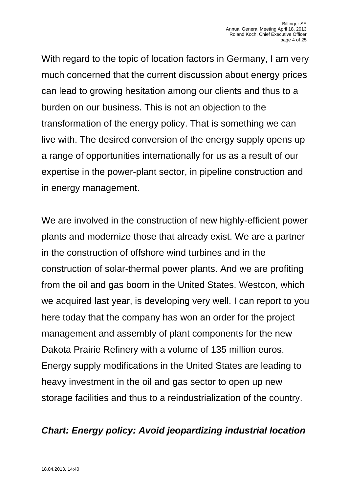With regard to the topic of location factors in Germany, I am very much concerned that the current discussion about energy prices can lead to growing hesitation among our clients and thus to a burden on our business. This is not an objection to the transformation of the energy policy. That is something we can live with. The desired conversion of the energy supply opens up a range of opportunities internationally for us as a result of our expertise in the power-plant sector, in pipeline construction and in energy management.

We are involved in the construction of new highly-efficient power plants and modernize those that already exist. We are a partner in the construction of offshore wind turbines and in the construction of solar-thermal power plants. And we are profiting from the oil and gas boom in the United States. Westcon, which we acquired last year, is developing very well. I can report to you here today that the company has won an order for the project management and assembly of plant components for the new Dakota Prairie Refinery with a volume of 135 million euros. Energy supply modifications in the United States are leading to heavy investment in the oil and gas sector to open up new storage facilities and thus to a reindustrialization of the country.

### *Chart: Energy policy: Avoid jeopardizing industrial location*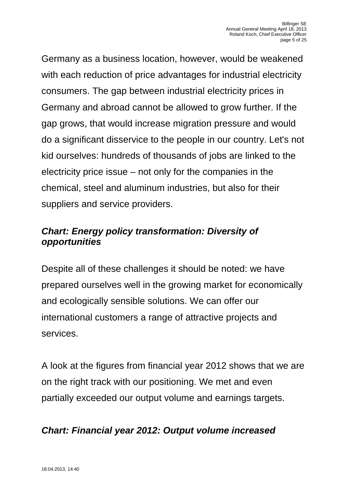Germany as a business location, however, would be weakened with each reduction of price advantages for industrial electricity consumers. The gap between industrial electricity prices in Germany and abroad cannot be allowed to grow further. If the gap grows, that would increase migration pressure and would do a significant disservice to the people in our country. Let's not kid ourselves: hundreds of thousands of jobs are linked to the electricity price issue – not only for the companies in the chemical, steel and aluminum industries, but also for their suppliers and service providers.

# *Chart: Energy policy transformation: Diversity of opportunities*

Despite all of these challenges it should be noted: we have prepared ourselves well in the growing market for economically and ecologically sensible solutions. We can offer our international customers a range of attractive projects and services.

A look at the figures from financial year 2012 shows that we are on the right track with our positioning. We met and even partially exceeded our output volume and earnings targets.

# *Chart: Financial year 2012: Output volume increased*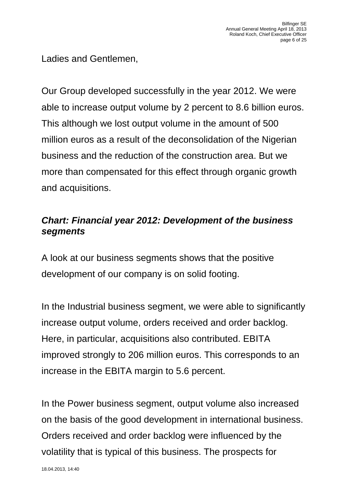Ladies and Gentlemen,

Our Group developed successfully in the year 2012. We were able to increase output volume by 2 percent to 8.6 billion euros. This although we lost output volume in the amount of 500 million euros as a result of the deconsolidation of the Nigerian business and the reduction of the construction area. But we more than compensated for this effect through organic growth and acquisitions.

# *Chart: Financial year 2012: Development of the business segments*

A look at our business segments shows that the positive development of our company is on solid footing.

In the Industrial business segment, we were able to significantly increase output volume, orders received and order backlog. Here, in particular, acquisitions also contributed. EBITA improved strongly to 206 million euros. This corresponds to an increase in the EBITA margin to 5.6 percent.

In the Power business segment, output volume also increased on the basis of the good development in international business. Orders received and order backlog were influenced by the volatility that is typical of this business. The prospects for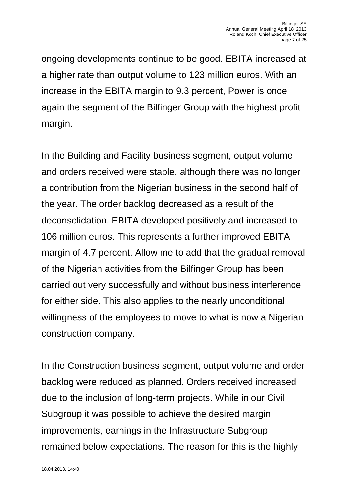ongoing developments continue to be good. EBITA increased at a higher rate than output volume to 123 million euros. With an increase in the EBITA margin to 9.3 percent, Power is once again the segment of the Bilfinger Group with the highest profit margin.

In the Building and Facility business segment, output volume and orders received were stable, although there was no longer a contribution from the Nigerian business in the second half of the year. The order backlog decreased as a result of the deconsolidation. EBITA developed positively and increased to 106 million euros. This represents a further improved EBITA margin of 4.7 percent. Allow me to add that the gradual removal of the Nigerian activities from the Bilfinger Group has been carried out very successfully and without business interference for either side. This also applies to the nearly unconditional willingness of the employees to move to what is now a Nigerian construction company.

In the Construction business segment, output volume and order backlog were reduced as planned. Orders received increased due to the inclusion of long-term projects. While in our Civil Subgroup it was possible to achieve the desired margin improvements, earnings in the Infrastructure Subgroup remained below expectations. The reason for this is the highly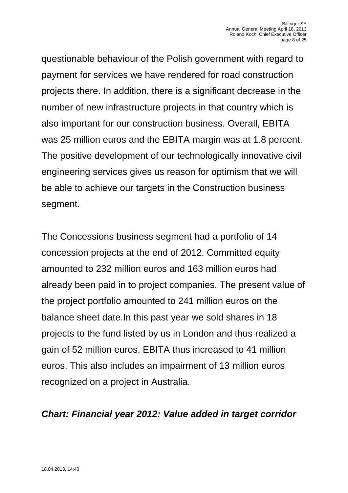questionable behaviour of the Polish government with regard to payment for services we have rendered for road construction projects there. In addition, there is a significant decrease in the number of new infrastructure projects in that country which is also important for our construction business. Overall, EBITA was 25 million euros and the EBITA margin was at 1.8 percent. The positive development of our technologically innovative civil engineering services gives us reason for optimism that we will be able to achieve our targets in the Construction business segment.

The Concessions business segment had a portfolio of 14 concession projects at the end of 2012. Committed equity amounted to 232 million euros and 163 million euros had already been paid in to project companies. The present value of the project portfolio amounted to 241 million euros on the balance sheet date.In this past year we sold shares in 18 projects to the fund listed by us in London and thus realized a gain of 52 million euros. EBITA thus increased to 41 million euros. This also includes an impairment of 13 million euros recognized on a project in Australia.

#### *Chart: Financial year 2012: Value added in target corridor*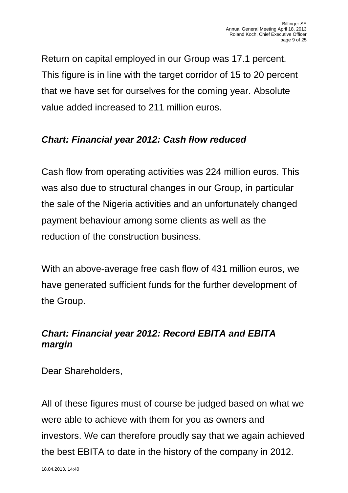Return on capital employed in our Group was 17.1 percent. This figure is in line with the target corridor of 15 to 20 percent that we have set for ourselves for the coming year. Absolute value added increased to 211 million euros.

# *Chart: Financial year 2012: Cash flow reduced*

Cash flow from operating activities was 224 million euros. This was also due to structural changes in our Group, in particular the sale of the Nigeria activities and an unfortunately changed payment behaviour among some clients as well as the reduction of the construction business.

With an above-average free cash flow of 431 million euros, we have generated sufficient funds for the further development of the Group.

# *Chart: Financial year 2012: Record EBITA and EBITA margin*

Dear Shareholders,

All of these figures must of course be judged based on what we were able to achieve with them for you as owners and investors. We can therefore proudly say that we again achieved the best EBITA to date in the history of the company in 2012.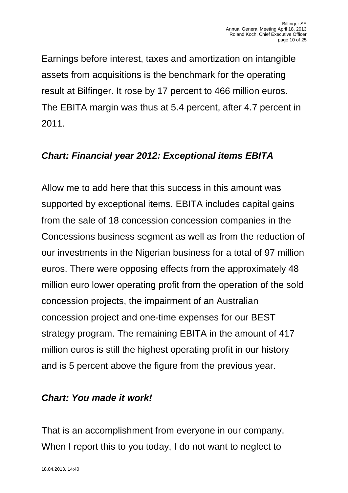Earnings before interest, taxes and amortization on intangible assets from acquisitions is the benchmark for the operating result at Bilfinger. It rose by 17 percent to 466 million euros. The EBITA margin was thus at 5.4 percent, after 4.7 percent in 2011.

# *Chart: Financial year 2012: Exceptional items EBITA*

Allow me to add here that this success in this amount was supported by exceptional items. EBITA includes capital gains from the sale of 18 concession concession companies in the Concessions business segment as well as from the reduction of our investments in the Nigerian business for a total of 97 million euros. There were opposing effects from the approximately 48 million euro lower operating profit from the operation of the sold concession projects, the impairment of an Australian concession project and one-time expenses for our BEST strategy program. The remaining EBITA in the amount of 417 million euros is still the highest operating profit in our history and is 5 percent above the figure from the previous year.

#### *Chart: You made it work!*

That is an accomplishment from everyone in our company. When I report this to you today, I do not want to neglect to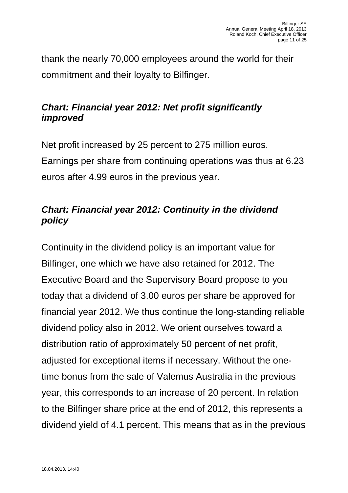thank the nearly 70,000 employees around the world for their commitment and their loyalty to Bilfinger.

# *Chart: Financial year 2012: Net profit significantly improved*

Net profit increased by 25 percent to 275 million euros. Earnings per share from continuing operations was thus at 6.23 euros after 4.99 euros in the previous year.

# *Chart: Financial year 2012: Continuity in the dividend policy*

Continuity in the dividend policy is an important value for Bilfinger, one which we have also retained for 2012. The Executive Board and the Supervisory Board propose to you today that a dividend of 3.00 euros per share be approved for financial year 2012. We thus continue the long-standing reliable dividend policy also in 2012. We orient ourselves toward a distribution ratio of approximately 50 percent of net profit, adjusted for exceptional items if necessary. Without the onetime bonus from the sale of Valemus Australia in the previous year, this corresponds to an increase of 20 percent. In relation to the Bilfinger share price at the end of 2012, this represents a dividend yield of 4.1 percent. This means that as in the previous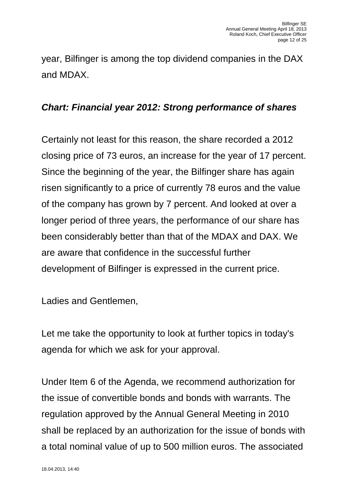year, Bilfinger is among the top dividend companies in the DAX and MDAX.

#### *Chart: Financial year 2012: Strong performance of shares*

Certainly not least for this reason, the share recorded a 2012 closing price of 73 euros, an increase for the year of 17 percent. Since the beginning of the year, the Bilfinger share has again risen significantly to a price of currently 78 euros and the value of the company has grown by 7 percent. And looked at over a longer period of three years, the performance of our share has been considerably better than that of the MDAX and DAX. We are aware that confidence in the successful further development of Bilfinger is expressed in the current price.

Ladies and Gentlemen,

Let me take the opportunity to look at further topics in today's agenda for which we ask for your approval.

Under Item 6 of the Agenda, we recommend authorization for the issue of convertible bonds and bonds with warrants. The regulation approved by the Annual General Meeting in 2010 shall be replaced by an authorization for the issue of bonds with a total nominal value of up to 500 million euros. The associated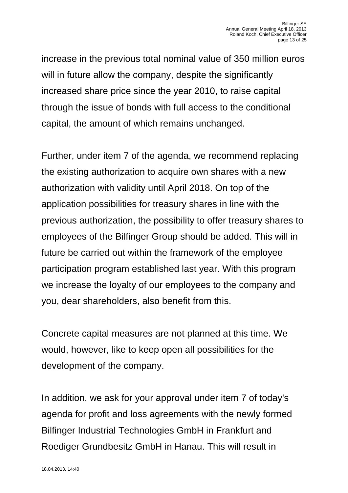increase in the previous total nominal value of 350 million euros will in future allow the company, despite the significantly increased share price since the year 2010, to raise capital through the issue of bonds with full access to the conditional capital, the amount of which remains unchanged.

Further, under item 7 of the agenda, we recommend replacing the existing authorization to acquire own shares with a new authorization with validity until April 2018. On top of the application possibilities for treasury shares in line with the previous authorization, the possibility to offer treasury shares to employees of the Bilfinger Group should be added. This will in future be carried out within the framework of the employee participation program established last year. With this program we increase the loyalty of our employees to the company and you, dear shareholders, also benefit from this.

Concrete capital measures are not planned at this time. We would, however, like to keep open all possibilities for the development of the company.

In addition, we ask for your approval under item 7 of today's agenda for profit and loss agreements with the newly formed Bilfinger Industrial Technologies GmbH in Frankfurt and Roediger Grundbesitz GmbH in Hanau. This will result in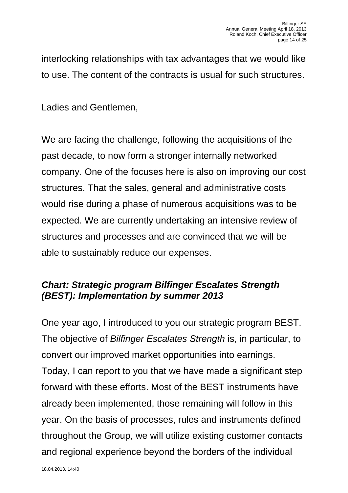interlocking relationships with tax advantages that we would like to use. The content of the contracts is usual for such structures.

Ladies and Gentlemen,

We are facing the challenge, following the acquisitions of the past decade, to now form a stronger internally networked company. One of the focuses here is also on improving our cost structures. That the sales, general and administrative costs would rise during a phase of numerous acquisitions was to be expected. We are currently undertaking an intensive review of structures and processes and are convinced that we will be able to sustainably reduce our expenses.

### *Chart: Strategic program Bilfinger Escalates Strength (BEST): Implementation by summer 2013*

One year ago, I introduced to you our strategic program BEST. The objective of *Bilfinger Escalates Strength* is, in particular, to convert our improved market opportunities into earnings. Today, I can report to you that we have made a significant step forward with these efforts. Most of the BEST instruments have already been implemented, those remaining will follow in this year. On the basis of processes, rules and instruments defined throughout the Group, we will utilize existing customer contacts and regional experience beyond the borders of the individual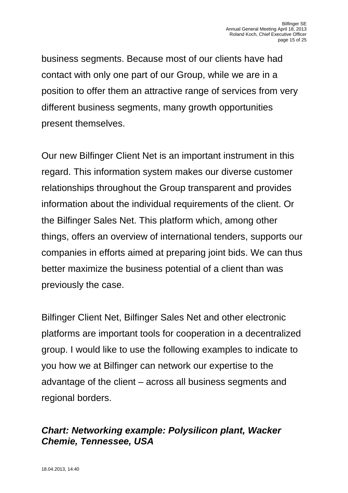business segments. Because most of our clients have had contact with only one part of our Group, while we are in a position to offer them an attractive range of services from very different business segments, many growth opportunities present themselves.

Our new Bilfinger Client Net is an important instrument in this regard. This information system makes our diverse customer relationships throughout the Group transparent and provides information about the individual requirements of the client. Or the Bilfinger Sales Net. This platform which, among other things, offers an overview of international tenders, supports our companies in efforts aimed at preparing joint bids. We can thus better maximize the business potential of a client than was previously the case.

Bilfinger Client Net, Bilfinger Sales Net and other electronic platforms are important tools for cooperation in a decentralized group. I would like to use the following examples to indicate to you how we at Bilfinger can network our expertise to the advantage of the client – across all business segments and regional borders.

### *Chart: Networking example: Polysilicon plant, Wacker Chemie, Tennessee, USA*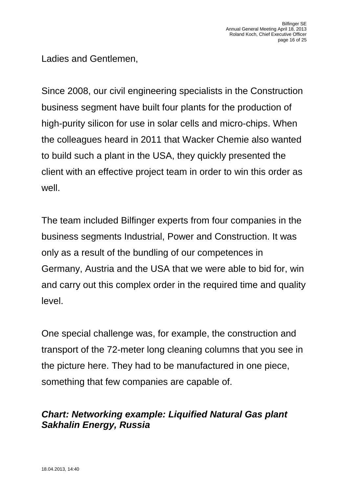Ladies and Gentlemen,

Since 2008, our civil engineering specialists in the Construction business segment have built four plants for the production of high-purity silicon for use in solar cells and micro-chips. When the colleagues heard in 2011 that Wacker Chemie also wanted to build such a plant in the USA, they quickly presented the client with an effective project team in order to win this order as well.

The team included Bilfinger experts from four companies in the business segments Industrial, Power and Construction. It was only as a result of the bundling of our competences in Germany, Austria and the USA that we were able to bid for, win and carry out this complex order in the required time and quality level.

One special challenge was, for example, the construction and transport of the 72-meter long cleaning columns that you see in the picture here. They had to be manufactured in one piece, something that few companies are capable of.

# *Chart: Networking example: Liquified Natural Gas plant Sakhalin Energy, Russia*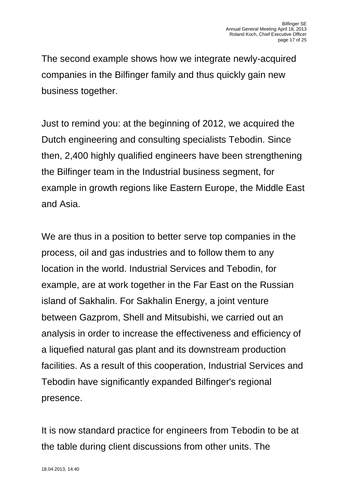The second example shows how we integrate newly-acquired companies in the Bilfinger family and thus quickly gain new business together.

Just to remind you: at the beginning of 2012, we acquired the Dutch engineering and consulting specialists Tebodin. Since then, 2,400 highly qualified engineers have been strengthening the Bilfinger team in the Industrial business segment, for example in growth regions like Eastern Europe, the Middle East and Asia.

We are thus in a position to better serve top companies in the process, oil and gas industries and to follow them to any location in the world. Industrial Services and Tebodin, for example, are at work together in the Far East on the Russian island of Sakhalin. For Sakhalin Energy, a joint venture between Gazprom, Shell and Mitsubishi, we carried out an analysis in order to increase the effectiveness and efficiency of a liquefied natural gas plant and its downstream production facilities. As a result of this cooperation, Industrial Services and Tebodin have significantly expanded Bilfinger's regional presence.

It is now standard practice for engineers from Tebodin to be at the table during client discussions from other units. The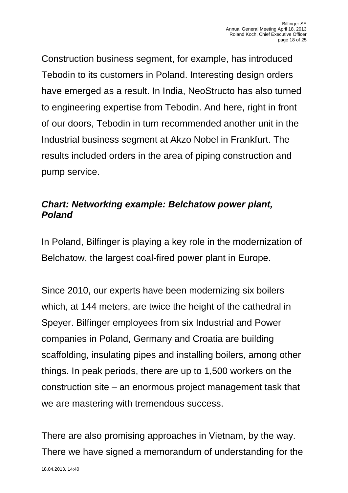Construction business segment, for example, has introduced Tebodin to its customers in Poland. Interesting design orders have emerged as a result. In India, NeoStructo has also turned to engineering expertise from Tebodin. And here, right in front of our doors, Tebodin in turn recommended another unit in the Industrial business segment at Akzo Nobel in Frankfurt. The results included orders in the area of piping construction and pump service.

# *Chart: Networking example: Belchatow power plant, Poland*

In Poland, Bilfinger is playing a key role in the modernization of Belchatow, the largest coal-fired power plant in Europe.

Since 2010, our experts have been modernizing six boilers which, at 144 meters, are twice the height of the cathedral in Speyer. Bilfinger employees from six Industrial and Power companies in Poland, Germany and Croatia are building scaffolding, insulating pipes and installing boilers, among other things. In peak periods, there are up to 1,500 workers on the construction site – an enormous project management task that we are mastering with tremendous success.

There are also promising approaches in Vietnam, by the way. There we have signed a memorandum of understanding for the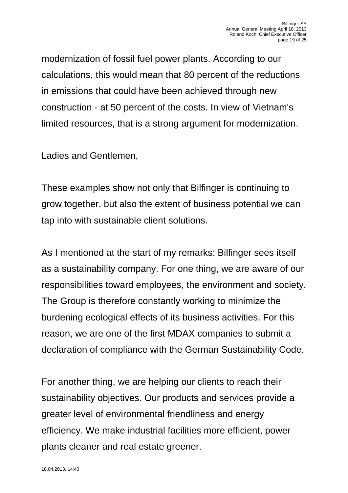modernization of fossil fuel power plants. According to our calculations, this would mean that 80 percent of the reductions in emissions that could have been achieved through new construction - at 50 percent of the costs. In view of Vietnam's limited resources, that is a strong argument for modernization.

Ladies and Gentlemen,

These examples show not only that Bilfinger is continuing to grow together, but also the extent of business potential we can tap into with sustainable client solutions.

As I mentioned at the start of my remarks: Bilfinger sees itself as a sustainability company. For one thing, we are aware of our responsibilities toward employees, the environment and society. The Group is therefore constantly working to minimize the burdening ecological effects of its business activities. For this reason, we are one of the first MDAX companies to submit a declaration of compliance with the German Sustainability Code.

For another thing, we are helping our clients to reach their sustainability objectives. Our products and services provide a greater level of environmental friendliness and energy efficiency. We make industrial facilities more efficient, power plants cleaner and real estate greener.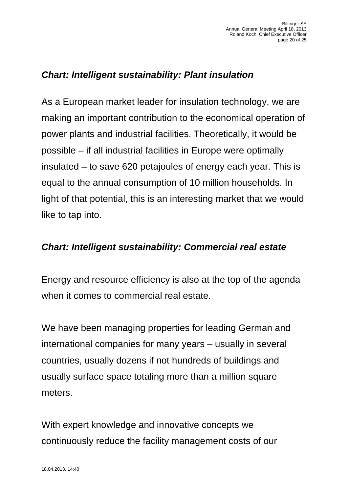# *Chart: Intelligent sustainability: Plant insulation*

As a European market leader for insulation technology, we are making an important contribution to the economical operation of power plants and industrial facilities. Theoretically, it would be possible – if all industrial facilities in Europe were optimally insulated – to save 620 petajoules of energy each year. This is equal to the annual consumption of 10 million households. In light of that potential, this is an interesting market that we would like to tap into.

#### *Chart: Intelligent sustainability: Commercial real estate*

Energy and resource efficiency is also at the top of the agenda when it comes to commercial real estate.

We have been managing properties for leading German and international companies for many years – usually in several countries, usually dozens if not hundreds of buildings and usually surface space totaling more than a million square meters.

With expert knowledge and innovative concepts we continuously reduce the facility management costs of our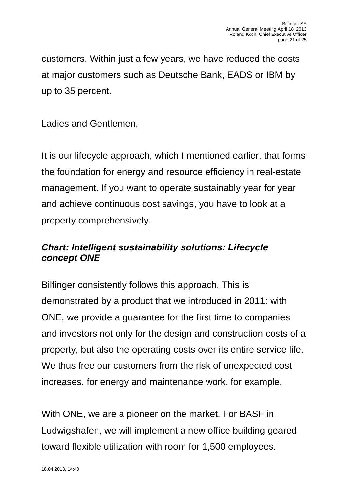customers. Within just a few years, we have reduced the costs at major customers such as Deutsche Bank, EADS or IBM by up to 35 percent.

Ladies and Gentlemen,

It is our lifecycle approach, which I mentioned earlier, that forms the foundation for energy and resource efficiency in real-estate management. If you want to operate sustainably year for year and achieve continuous cost savings, you have to look at a property comprehensively.

### *Chart: Intelligent sustainability solutions: Lifecycle concept ONE*

Bilfinger consistently follows this approach. This is demonstrated by a product that we introduced in 2011: with ONE, we provide a guarantee for the first time to companies and investors not only for the design and construction costs of a property, but also the operating costs over its entire service life. We thus free our customers from the risk of unexpected cost increases, for energy and maintenance work, for example.

With ONE, we are a pioneer on the market. For BASF in Ludwigshafen, we will implement a new office building geared toward flexible utilization with room for 1,500 employees.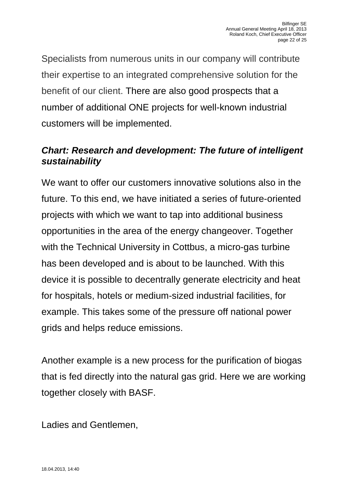Specialists from numerous units in our company will contribute their expertise to an integrated comprehensive solution for the benefit of our client. There are also good prospects that a number of additional ONE projects for well-known industrial customers will be implemented.

# *Chart: Research and development: The future of intelligent sustainability*

We want to offer our customers innovative solutions also in the future. To this end, we have initiated a series of future-oriented projects with which we want to tap into additional business opportunities in the area of the energy changeover. Together with the Technical University in Cottbus, a micro-gas turbine has been developed and is about to be launched. With this device it is possible to decentrally generate electricity and heat for hospitals, hotels or medium-sized industrial facilities, for example. This takes some of the pressure off national power grids and helps reduce emissions.

Another example is a new process for the purification of biogas that is fed directly into the natural gas grid. Here we are working together closely with BASF.

Ladies and Gentlemen,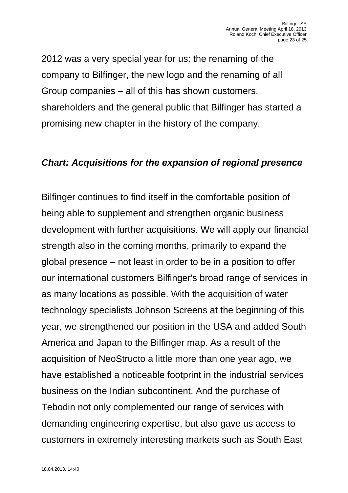2012 was a very special year for us: the renaming of the company to Bilfinger, the new logo and the renaming of all Group companies – all of this has shown customers, shareholders and the general public that Bilfinger has started a promising new chapter in the history of the company.

#### *Chart: Acquisitions for the expansion of regional presence*

Bilfinger continues to find itself in the comfortable position of being able to supplement and strengthen organic business development with further acquisitions. We will apply our financial strength also in the coming months, primarily to expand the global presence – not least in order to be in a position to offer our international customers Bilfinger's broad range of services in as many locations as possible. With the acquisition of water technology specialists Johnson Screens at the beginning of this year, we strengthened our position in the USA and added South America and Japan to the Bilfinger map. As a result of the acquisition of NeoStructo a little more than one year ago, we have established a noticeable footprint in the industrial services business on the Indian subcontinent. And the purchase of Tebodin not only complemented our range of services with demanding engineering expertise, but also gave us access to customers in extremely interesting markets such as South East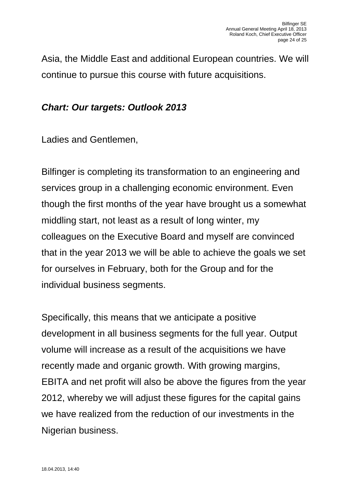Asia, the Middle East and additional European countries. We will continue to pursue this course with future acquisitions.

#### *Chart: Our targets: Outlook 2013*

Ladies and Gentlemen,

Bilfinger is completing its transformation to an engineering and services group in a challenging economic environment. Even though the first months of the year have brought us a somewhat middling start, not least as a result of long winter, my colleagues on the Executive Board and myself are convinced that in the year 2013 we will be able to achieve the goals we set for ourselves in February, both for the Group and for the individual business segments.

Specifically, this means that we anticipate a positive development in all business segments for the full year. Output volume will increase as a result of the acquisitions we have recently made and organic growth. With growing margins, EBITA and net profit will also be above the figures from the year 2012, whereby we will adjust these figures for the capital gains we have realized from the reduction of our investments in the Nigerian business.